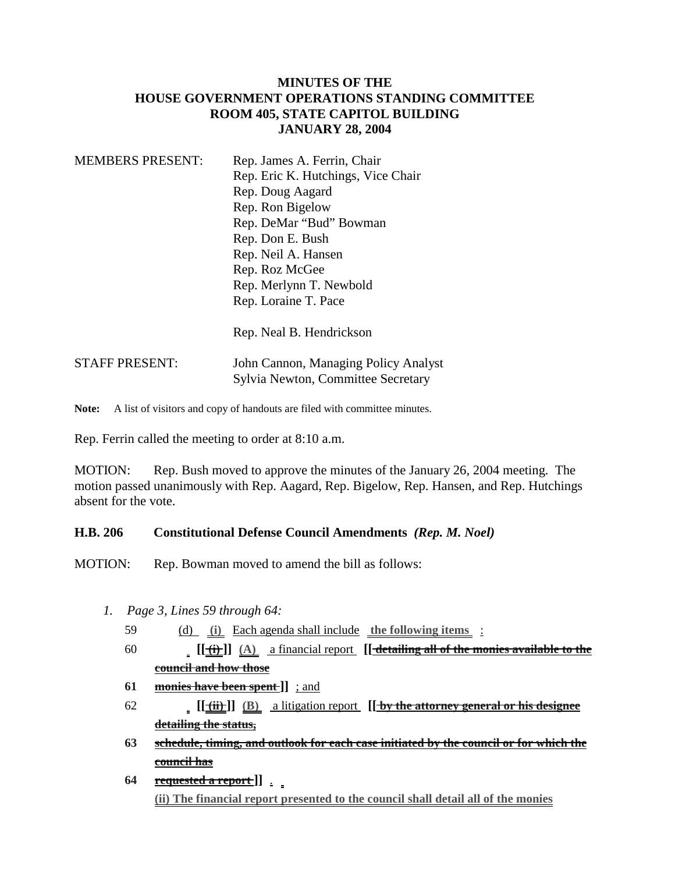### **MINUTES OF THE HOUSE GOVERNMENT OPERATIONS STANDING COMMITTEE ROOM 405, STATE CAPITOL BUILDING JANUARY 28, 2004**

| <b>MEMBERS PRESENT:</b> | Rep. James A. Ferrin, Chair                                                |
|-------------------------|----------------------------------------------------------------------------|
|                         | Rep. Eric K. Hutchings, Vice Chair                                         |
|                         | Rep. Doug Aagard                                                           |
|                         | Rep. Ron Bigelow                                                           |
|                         | Rep. DeMar "Bud" Bowman                                                    |
|                         | Rep. Don E. Bush                                                           |
|                         | Rep. Neil A. Hansen                                                        |
|                         | Rep. Roz McGee                                                             |
|                         | Rep. Merlynn T. Newbold                                                    |
|                         | Rep. Loraine T. Pace                                                       |
|                         | Rep. Neal B. Hendrickson                                                   |
| <b>STAFF PRESENT:</b>   | John Cannon, Managing Policy Analyst<br>Sylvia Newton, Committee Secretary |

**Note:** A list of visitors and copy of handouts are filed with committee minutes.

Rep. Ferrin called the meeting to order at 8:10 a.m.

MOTION: Rep. Bush moved to approve the minutes of the January 26, 2004 meeting. The motion passed unanimously with Rep. Aagard, Rep. Bigelow, Rep. Hansen, and Rep. Hutchings absent for the vote.

### **H.B. 206 Constitutional Defense Council Amendments** *(Rep. M. Noel)*

MOTION: Rep. Bowman moved to amend the bill as follows:

- *1. Page 3, Lines 59 through 64:*
	- 59 (d) **(i)** Each agenda shall include **the following items** :
	- 60  $\left[\frac{(\textbf{i})}{(\textbf{i})}\right]$  (A) a financial report  $\left[\frac{(\textbf{d}\cdot\textbf{d})}{(\textbf{d}\cdot\textbf{d})}\right]$  a financial report  $\left[\frac{(\textbf{d}\cdot\textbf{d})}{(\textbf{d}\cdot\textbf{d})}\right]$  and  $\left[\frac{(\textbf{d}\cdot\textbf{d})}{(\textbf{d}\cdot\textbf{d})}\right]$  and  $\left[\frac{(\textbf{d}\cdot\textbf{d})}{(\textbf{d}\cdot\textbf{d$ **council and how those**
	- **61** monies have been spent ]] ; and
	- 62 **[[<del>(ii)</del>]] (B) a litigation report <b>[[**by the attorney general or his designee **detailing the status,**
	- **63 schedule, timing, and outlook for each case initiated by the council or for which the council has**
	- **64 requested a report ]]** . **(ii) The financial report presented to the council shall detail all of the monies**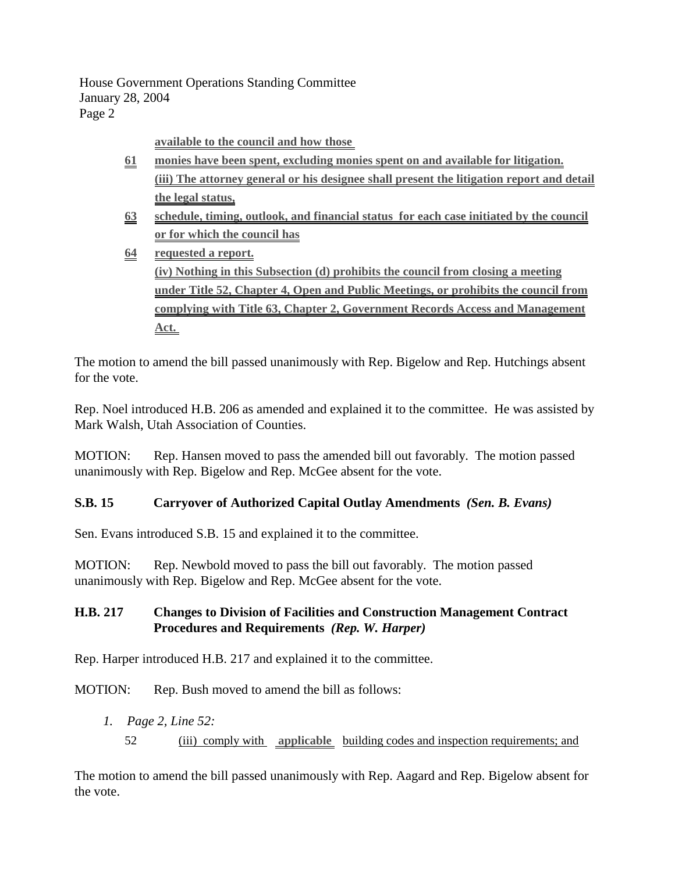House Government Operations Standing Committee January 28, 2004 Page 2

**available to the council and how those** 

- **61 monies have been spent, excluding monies spent on and available for litigation. (iii) The attorney general or his designee shall present the litigation report and detail the legal status,**
- **63 schedule, timing, outlook, and financial status for each case initiated by the council or for which the council has**
- **64 requested a report. (iv) Nothing in this Subsection (d) prohibits the council from closing a meeting under Title 52, Chapter 4, Open and Public Meetings, or prohibits the council from complying with Title 63, Chapter 2, Government Records Access and Management Act.**

The motion to amend the bill passed unanimously with Rep. Bigelow and Rep. Hutchings absent for the vote.

Rep. Noel introduced H.B. 206 as amended and explained it to the committee. He was assisted by Mark Walsh, Utah Association of Counties.

MOTION: Rep. Hansen moved to pass the amended bill out favorably. The motion passed unanimously with Rep. Bigelow and Rep. McGee absent for the vote.

# **S.B. 15 Carryover of Authorized Capital Outlay Amendments** *(Sen. B. Evans)*

Sen. Evans introduced S.B. 15 and explained it to the committee.

MOTION: Rep. Newbold moved to pass the bill out favorably. The motion passed unanimously with Rep. Bigelow and Rep. McGee absent for the vote.

# **H.B. 217 Changes to Division of Facilities and Construction Management Contract Procedures and Requirements** *(Rep. W. Harper)*

Rep. Harper introduced H.B. 217 and explained it to the committee.

MOTION: Rep. Bush moved to amend the bill as follows:

- *1. Page 2, Line 52:*
	- 52 (iii) comply with **applicable** building codes and inspection requirements; and

The motion to amend the bill passed unanimously with Rep. Aagard and Rep. Bigelow absent for the vote.